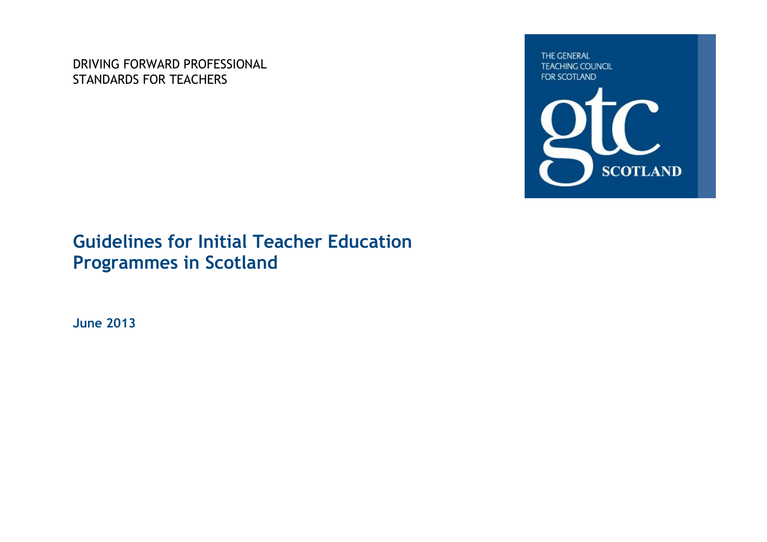DRIVING FORWARD PROFESSIONAL STANDARDS FOR TEACHERS

THE GENERAL **TEACHING COUNCIL** FOR SCOTLAND



# **Guidelines for Initial Teacher Education Programmes in Scotland**

**June 2013**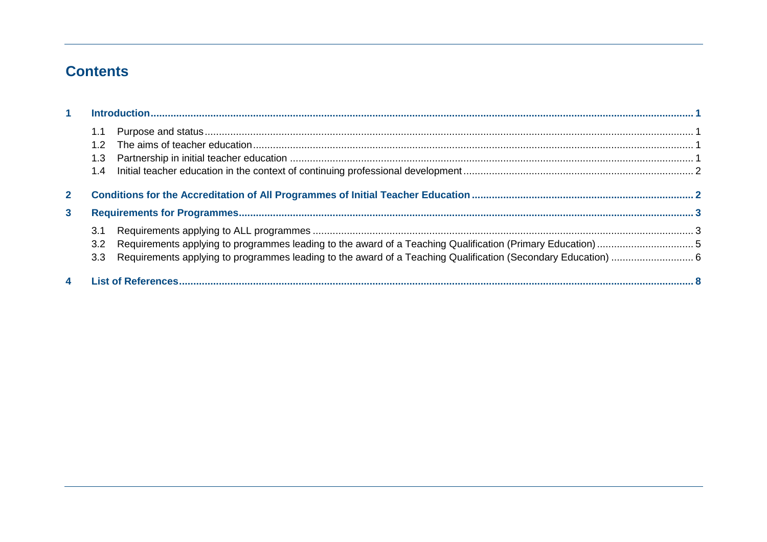# **Contents**

| 1 <sup>1</sup> |     |  |  |
|----------------|-----|--|--|
|                | 1.1 |  |  |
|                |     |  |  |
|                | 1.3 |  |  |
|                | 1.4 |  |  |
| $\mathbf{2}$   |     |  |  |
| 3              |     |  |  |
|                | 3.1 |  |  |
|                | 3.2 |  |  |
|                |     |  |  |
| 4              |     |  |  |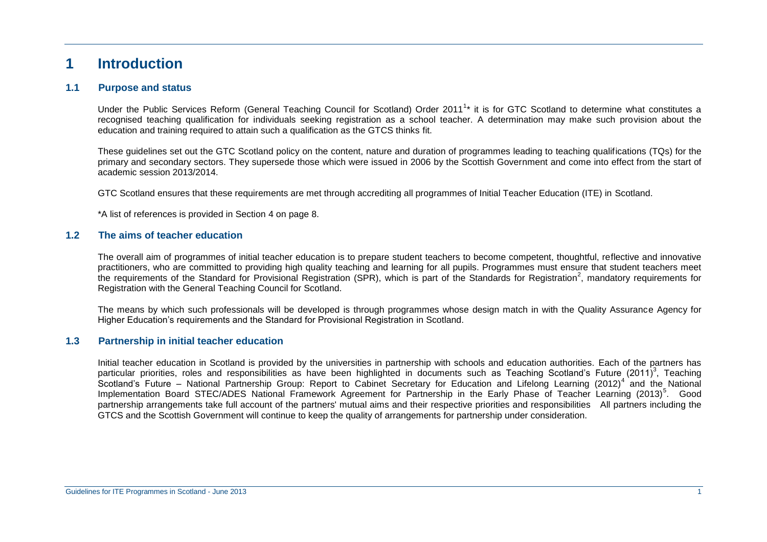### **1 Introduction**

#### **1.1 Purpose and status**

Under the Public Services Reform (General Teaching Council for Scotland) Order 2011<sup>1</sup>\* it is for GTC Scotland to determine what constitutes a recognised teaching qualification for individuals seeking registration as a school teacher. A determination may make such provision about the education and training required to attain such a qualification as the GTCS thinks fit.

These guidelines set out the GTC Scotland policy on the content, nature and duration of programmes leading to teaching qualifications (TQs) for the primary and secondary sectors. They supersede those which were issued in 2006 by the Scottish Government and come into effect from the start of academic session 2013/2014.

GTC Scotland ensures that these requirements are met through accrediting all programmes of Initial Teacher Education (ITE) in Scotland.

\*A list of references is provided in Section 4 on page 8.

#### **1.2 The aims of teacher education**

The overall aim of programmes of initial teacher education is to prepare student teachers to become competent, thoughtful, reflective and innovative practitioners, who are committed to providing high quality teaching and learning for all pupils. Programmes must ensure that student teachers meet the requirements of the Standard for Provisional Registration (SPR), which is part of the Standards for Registration<sup>2</sup>, mandatory requirements for Registration with the General Teaching Council for Scotland.

The means by which such professionals will be developed is through programmes whose design match in with the Quality Assurance Agency for Higher Education's requirements and the Standard for Provisional Registration in Scotland.

#### **1.3 Partnership in initial teacher education**

Initial teacher education in Scotland is provided by the universities in partnership with schools and education authorities. Each of the partners has particular priorities, roles and responsibilities as have been highlighted in documents such as Teaching Scotland's Future (2011)<sup>3</sup>, Teaching Scotland's Future – National Partnership Group: Report to Cabinet Secretary for Education and Lifelong Learning (2012)<sup>4</sup> and the National Implementation Board STEC/ADES National Framework Agreement for Partnership in the Early Phase of Teacher Learning (2013)<sup>5</sup>. Good partnership arrangements take full account of the partners' mutual aims and their respective priorities and responsibilities All partners including the GTCS and the Scottish Government will continue to keep the quality of arrangements for partnership under consideration.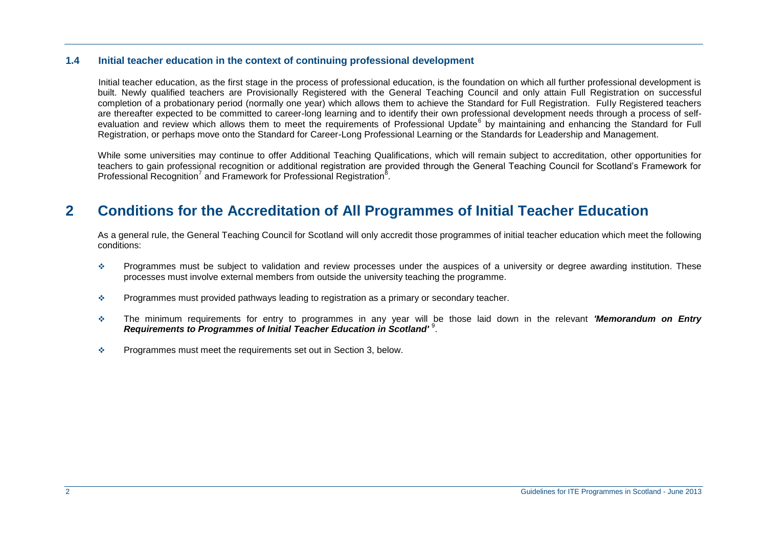#### **1.4 Initial teacher education in the context of continuing professional development**

Initial teacher education, as the first stage in the process of professional education, is the foundation on which all further professional development is built. Newly qualified teachers are Provisionally Registered with the General Teaching Council and only attain Full Registration on successful completion of a probationary period (normally one year) which allows them to achieve the Standard for Full Registration. Fully Registered teachers are thereafter expected to be committed to career-long learning and to identify their own professional development needs through a process of selfevaluation and review which allows them to meet the requirements of Professional Update<sup>6</sup> by maintaining and enhancing the Standard for Full Registration, or perhaps move onto the Standard for Career-Long Professional Learning or the Standards for Leadership and Management.

While some universities may continue to offer Additional Teaching Qualifications, which will remain subject to accreditation, other opportunities for teachers to gain professional recognition or additional registration are provided through the General Teaching Council for Scotland's Framework for Professional Recognition<sup>7</sup> and Framework for Professional Registration<sup>8</sup>.

# **2 Conditions for the Accreditation of All Programmes of Initial Teacher Education**

As a general rule, the General Teaching Council for Scotland will only accredit those programmes of initial teacher education which meet the following conditions:

- Programmes must be subject to validation and review processes under the auspices of a university or degree awarding institution. These processes must involve external members from outside the university teaching the programme.
- $\div$  Programmes must provided pathways leading to registration as a primary or secondary teacher.
- The minimum requirements for entry to programmes in any year will be those laid down in the relevant *'Memorandum on Entry*  Requirements to Programmes of Initial Teacher Education in Scotland'<sup>9</sup>.
- $\div$  Programmes must meet the requirements set out in Section 3, below.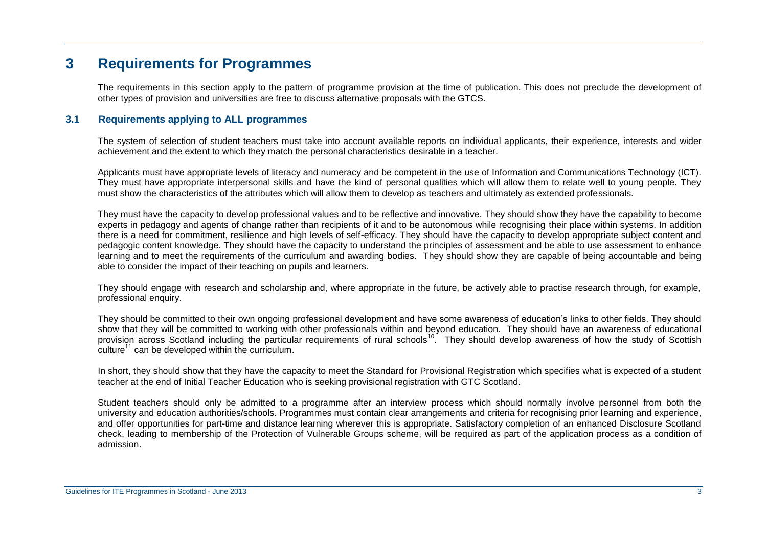## **3 Requirements for Programmes**

The requirements in this section apply to the pattern of programme provision at the time of publication. This does not preclude the development of other types of provision and universities are free to discuss alternative proposals with the GTCS.

#### **3.1 Requirements applying to ALL programmes**

The system of selection of student teachers must take into account available reports on individual applicants, their experience, interests and wider achievement and the extent to which they match the personal characteristics desirable in a teacher.

Applicants must have appropriate levels of literacy and numeracy and be competent in the use of Information and Communications Technology (ICT). They must have appropriate interpersonal skills and have the kind of personal qualities which will allow them to relate well to young people. They must show the characteristics of the attributes which will allow them to develop as teachers and ultimately as extended professionals.

They must have the capacity to develop professional values and to be reflective and innovative. They should show they have the capability to become experts in pedagogy and agents of change rather than recipients of it and to be autonomous while recognising their place within systems. In addition there is a need for commitment, resilience and high levels of self-efficacy. They should have the capacity to develop appropriate subject content and pedagogic content knowledge. They should have the capacity to understand the principles of assessment and be able to use assessment to enhance learning and to meet the requirements of the curriculum and awarding bodies. They should show they are capable of being accountable and being able to consider the impact of their teaching on pupils and learners.

They should engage with research and scholarship and, where appropriate in the future, be actively able to practise research through, for example, professional enquiry.

They should be committed to their own ongoing professional development and have some awareness of education's links to other fields. They should show that they will be committed to working with other professionals within and beyond education. They should have an awareness of educational provision across Scotland including the particular requirements of rural schools<sup>10</sup>. They should develop awareness of how the study of Scottish  $\text{culture}^{11}$  can be developed within the curriculum.

In short, they should show that they have the capacity to meet the Standard for Provisional Registration which specifies what is expected of a student teacher at the end of Initial Teacher Education who is seeking provisional registration with GTC Scotland.

Student teachers should only be admitted to a programme after an interview process which should normally involve personnel from both the university and education authorities/schools. Programmes must contain clear arrangements and criteria for recognising prior learning and experience, and offer opportunities for part-time and distance learning wherever this is appropriate. Satisfactory completion of an enhanced Disclosure Scotland check, leading to membership of the Protection of Vulnerable Groups scheme, will be required as part of the application process as a condition of admission.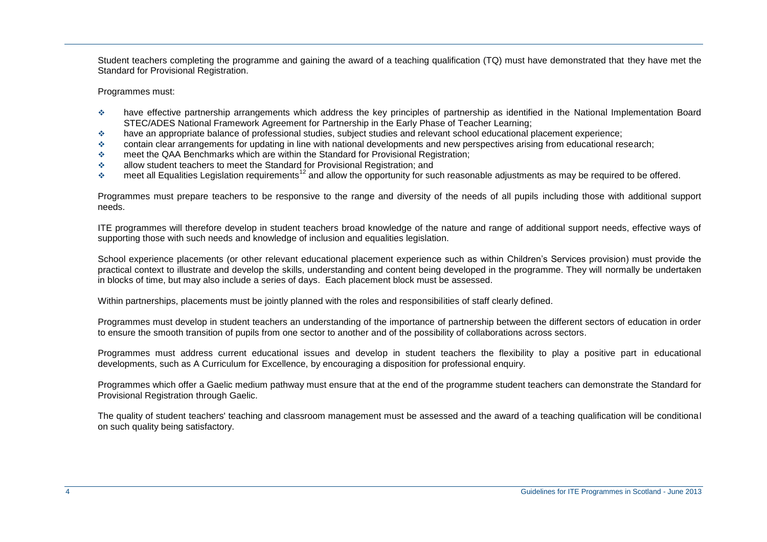Student teachers completing the programme and gaining the award of a teaching qualification (TQ) must have demonstrated that they have met the Standard for Provisional Registration.

Programmes must:

- have effective partnership arrangements which address the key principles of partnership as identified in the National Implementation Board STEC/ADES National Framework Agreement for Partnership in the Early Phase of Teacher Learning;
- have an appropriate balance of professional studies, subject studies and relevant school educational placement experience;
- contain clear arrangements for updating in line with national developments and new perspectives arising from educational research;
- meet the QAA Benchmarks which are within the Standard for Provisional Registration;
- allow student teachers to meet the Standard for Provisional Registration; and
- $\cdot$  meet all Equalities Legislation requirements<sup>12</sup> and allow the opportunity for such reasonable adjustments as may be required to be offered.

Programmes must prepare teachers to be responsive to the range and diversity of the needs of all pupils including those with additional support needs.

ITE programmes will therefore develop in student teachers broad knowledge of the nature and range of additional support needs, effective ways of supporting those with such needs and knowledge of inclusion and equalities legislation.

School experience placements (or other relevant educational placement experience such as within Children's Services provision) must provide the practical context to illustrate and develop the skills, understanding and content being developed in the programme. They will normally be undertaken in blocks of time, but may also include a series of days. Each placement block must be assessed.

Within partnerships, placements must be jointly planned with the roles and responsibilities of staff clearly defined.

Programmes must develop in student teachers an understanding of the importance of partnership between the different sectors of education in order to ensure the smooth transition of pupils from one sector to another and of the possibility of collaborations across sectors.

Programmes must address current educational issues and develop in student teachers the flexibility to play a positive part in educational developments, such as A Curriculum for Excellence, by encouraging a disposition for professional enquiry.

Programmes which offer a Gaelic medium pathway must ensure that at the end of the programme student teachers can demonstrate the Standard for Provisional Registration through Gaelic.

The quality of student teachers' teaching and classroom management must be assessed and the award of a teaching qualification will be conditional on such quality being satisfactory.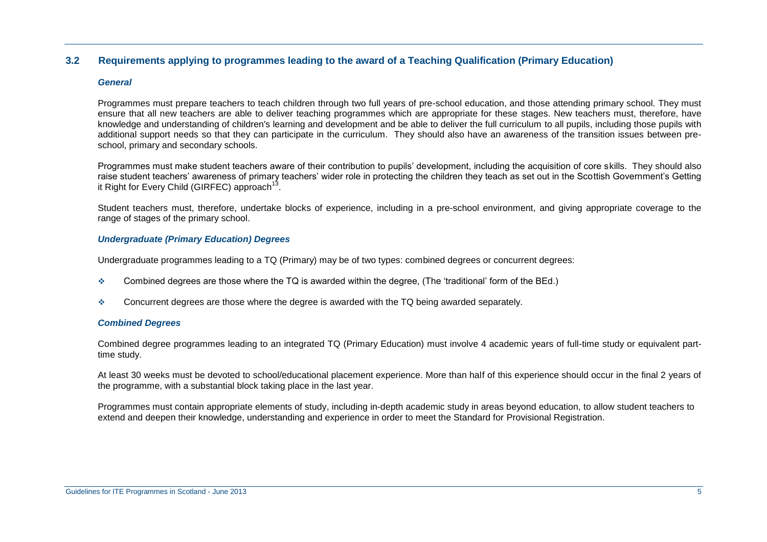#### **3.2 Requirements applying to programmes leading to the award of a Teaching Qualification (Primary Education)**

#### *General*

Programmes must prepare teachers to teach children through two full years of pre-school education, and those attending primary school. They must ensure that all new teachers are able to deliver teaching programmes which are appropriate for these stages. New teachers must, therefore, have knowledge and understanding of children's learning and development and be able to deliver the full curriculum to all pupils, including those pupils with additional support needs so that they can participate in the curriculum. They should also have an awareness of the transition issues between preschool, primary and secondary schools.

Programmes must make student teachers aware of their contribution to pupils' development, including the acquisition of core skills. They should also raise student teachers' awareness of primary teachers' wider role in protecting the children they teach as set out in the Scottish Government's Getting it Right for Every Child (GIRFEC) approach<sup>13</sup>.

Student teachers must, therefore, undertake blocks of experience, including in a pre-school environment, and giving appropriate coverage to the range of stages of the primary school.

#### *Undergraduate (Primary Education) Degrees*

Undergraduate programmes leading to a TQ (Primary) may be of two types: combined degrees or concurrent degrees:

- $\div$  Combined degrees are those where the TQ is awarded within the degree, (The 'traditional' form of the BEd.)
- $\div$  Concurrent degrees are those where the degree is awarded with the TQ being awarded separately.

#### *Combined Degrees*

Combined degree programmes leading to an integrated TQ (Primary Education) must involve 4 academic years of full-time study or equivalent parttime study.

At least 30 weeks must be devoted to school/educational placement experience. More than half of this experience should occur in the final 2 years of the programme, with a substantial block taking place in the last year.

Programmes must contain appropriate elements of study, including in-depth academic study in areas beyond education, to allow student teachers to extend and deepen their knowledge, understanding and experience in order to meet the Standard for Provisional Registration.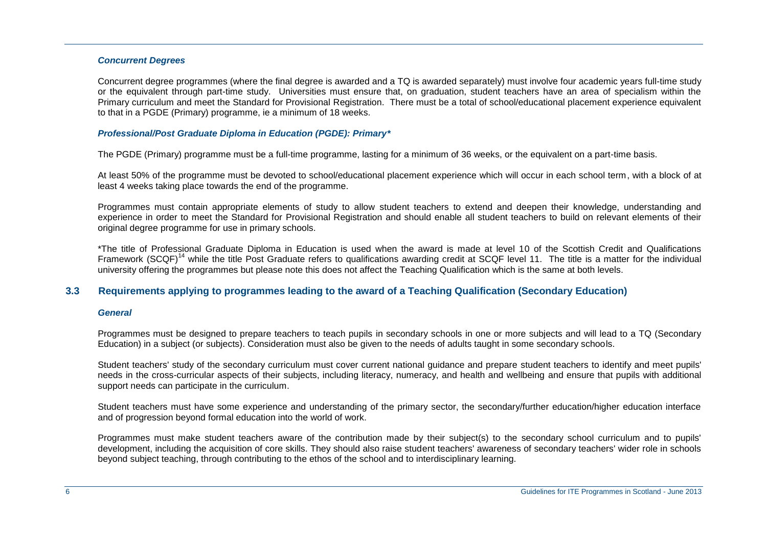#### *Concurrent Degrees*

Concurrent degree programmes (where the final degree is awarded and a TQ is awarded separately) must involve four academic years full-time study or the equivalent through part-time study. Universities must ensure that, on graduation, student teachers have an area of specialism within the Primary curriculum and meet the Standard for Provisional Registration. There must be a total of school/educational placement experience equivalent to that in a PGDE (Primary) programme, ie a minimum of 18 weeks.

#### *Professional/Post Graduate Diploma in Education (PGDE): Primary\**

The PGDE (Primary) programme must be a full-time programme, lasting for a minimum of 36 weeks, or the equivalent on a part-time basis.

At least 50% of the programme must be devoted to school/educational placement experience which will occur in each school term, with a block of at least 4 weeks taking place towards the end of the programme.

Programmes must contain appropriate elements of study to allow student teachers to extend and deepen their knowledge, understanding and experience in order to meet the Standard for Provisional Registration and should enable all student teachers to build on relevant elements of their original degree programme for use in primary schools.

\*The title of Professional Graduate Diploma in Education is used when the award is made at level 10 of the Scottish Credit and Qualifications Framework (SCQF)<sup>14</sup> while the title Post Graduate refers to qualifications awarding credit at SCQF level 11. The title is a matter for the individual university offering the programmes but please note this does not affect the Teaching Qualification which is the same at both levels.

#### **3.3 Requirements applying to programmes leading to the award of a Teaching Qualification (Secondary Education)**

#### *General*

Programmes must be designed to prepare teachers to teach pupils in secondary schools in one or more subjects and will lead to a TQ (Secondary Education) in a subject (or subjects). Consideration must also be given to the needs of adults taught in some secondary schools.

Student teachers' study of the secondary curriculum must cover current national guidance and prepare student teachers to identify and meet pupils' needs in the cross-curricular aspects of their subjects, including literacy, numeracy, and health and wellbeing and ensure that pupils with additional support needs can participate in the curriculum.

Student teachers must have some experience and understanding of the primary sector, the secondary/further education/higher education interface and of progression beyond formal education into the world of work.

Programmes must make student teachers aware of the contribution made by their subject(s) to the secondary school curriculum and to pupils' development, including the acquisition of core skills. They should also raise student teachers' awareness of secondary teachers' wider role in schools beyond subject teaching, through contributing to the ethos of the school and to interdisciplinary learning.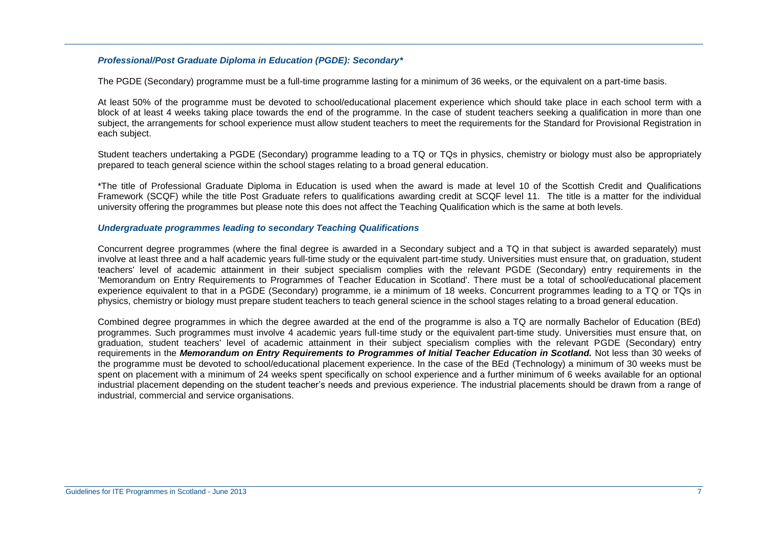#### *Professional/Post Graduate Diploma in Education (PGDE): Secondary\**

The PGDE (Secondary) programme must be a full-time programme lasting for a minimum of 36 weeks, or the equivalent on a part-time basis.

At least 50% of the programme must be devoted to school/educational placement experience which should take place in each school term with a block of at least 4 weeks taking place towards the end of the programme. In the case of student teachers seeking a qualification in more than one subject, the arrangements for school experience must allow student teachers to meet the requirements for the Standard for Provisional Registration in each subject.

Student teachers undertaking a PGDE (Secondary) programme leading to a TQ or TQs in physics, chemistry or biology must also be appropriately prepared to teach general science within the school stages relating to a broad general education.

\*The title of Professional Graduate Diploma in Education is used when the award is made at level 10 of the Scottish Credit and Qualifications Framework (SCQF) while the title Post Graduate refers to qualifications awarding credit at SCQF level 11. The title is a matter for the individual university offering the programmes but please note this does not affect the Teaching Qualification which is the same at both levels.

#### *Undergraduate programmes leading to secondary Teaching Qualifications*

Concurrent degree programmes (where the final degree is awarded in a Secondary subject and a TQ in that subject is awarded separately) must involve at least three and a half academic years full-time study or the equivalent part-time study. Universities must ensure that, on graduation, student teachers' level of academic attainment in their subject specialism complies with the relevant PGDE (Secondary) entry requirements in the 'Memorandum on Entry Requirements to Programmes of Teacher Education in Scotland'. There must be a total of school/educational placement experience equivalent to that in a PGDE (Secondary) programme, ie a minimum of 18 weeks. Concurrent programmes leading to a TQ or TQs in physics, chemistry or biology must prepare student teachers to teach general science in the school stages relating to a broad general education.

Combined degree programmes in which the degree awarded at the end of the programme is also a TQ are normally Bachelor of Education (BEd) programmes. Such programmes must involve 4 academic years full-time study or the equivalent part-time study. Universities must ensure that, on graduation, student teachers' level of academic attainment in their subject specialism complies with the relevant PGDE (Secondary) entry requirements in the *Memorandum on Entry Requirements to Programmes of Initial Teacher Education in Scotland.* Not less than 30 weeks of the programme must be devoted to school/educational placement experience. In the case of the BEd (Technology) a minimum of 30 weeks must be spent on placement with a minimum of 24 weeks spent specifically on school experience and a further minimum of 6 weeks available for an optional industrial placement depending on the student teacher's needs and previous experience. The industrial placements should be drawn from a range of industrial, commercial and service organisations.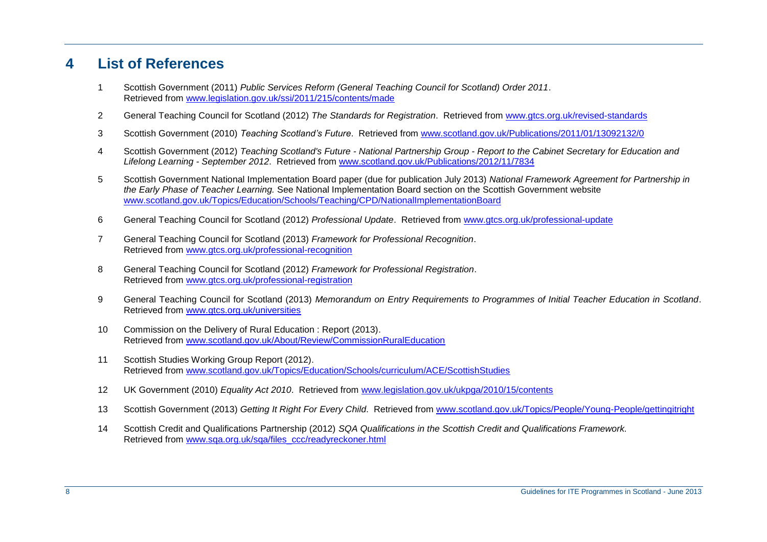# **List of References**

- Scottish Government (2011) *Public Services Reform (General Teaching Council for Scotland) Order 2011*. Retrieved from [www.legislation.gov.uk/ssi/2011/215/contents/made](http://www.legislation.gov.uk/ssi/2011/215/contents/made)
- General Teaching Council for Scotland (2012) *The Standards for Registration*. Retrieved from [www.gtcs.org.uk/revised-standards](http://www.gtcs.org.uk/revised-standards)
- Scottish Government (2010) *Teaching Scotland's Future*. Retrieved from [www.scotland.gov.uk/Publications/2011/01/13092132/0](http://www.scotland.gov.uk/Publications/2011/01/13092132/0)
- Scottish Government (2012) *Teaching Scotland's Future - National Partnership Group - Report to the Cabinet Secretary for Education and Lifelong Learning - September 2012*. Retrieved from [www.scotland.gov.uk/Publications/2012/11/7834](http://www.scotland.gov.uk/Publications/2012/11/7834)
- Scottish Government National Implementation Board paper (due for publication July 2013) *National Framework Agreement for Partnership in the Early Phase of Teacher Learning.* See National Implementation Board section on the Scottish Government website [www.scotland.gov.uk/Topics/Education/Schools/Teaching/CPD/NationalImplementationBoard](http://www.scotland.gov.uk/Topics/Education/Schools/Teaching/CPD/NationalImplementationBoard)
- General Teaching Council for Scotland (2012) *Professional Update*. Retrieved from [www.gtcs.org.uk/professional-update](http://www.gtcs.org.uk/professional-update)
- General Teaching Council for Scotland (2013) *Framework for Professional Recognition*. Retrieved from [www.gtcs.org.uk/professional-recognition](http://www.gtcs.org.uk/professional-recognition)
- General Teaching Council for Scotland (2012) *Framework for Professional Registration*. Retrieved from [www.gtcs.org.uk/professional-registration](http://www.gtcs.org.uk/professional-registration)
- General Teaching Council for Scotland (2013) *Memorandum on Entry Requirements to Programmes of Initial Teacher Education in Scotland*. Retrieved from [www.gtcs.org.uk/universities](http://www.gtcs.org.uk/universities)
- Commission on the Delivery of Rural Education : Report (2013). Retrieved from [www.scotland.gov.uk/About/Review/CommissionRuralEducation](http://www.scotland.gov.uk/About/Review/CommissionRuralEducation)
- Scottish Studies Working Group Report (2012). Retrieved from [www.scotland.gov.uk/Topics/Education/Schools/curriculum/ACE/ScottishStudies](http://www.scotland.gov.uk/Topics/Education/Schools/curriculum/ACE/ScottishStudies)
- UK Government (2010) *Equality Act 2010*. Retrieved from [www.legislation.gov.uk/ukpga/2010/15/contents](http://www.legislation.gov.uk/ukpga/2010/15/contents)
- Scottish Government (2013) *Getting It Right For Every Child*. Retrieved from [www.scotland.gov.uk/Topics/People/Young-People/gettingitright](http://www.scotland.gov.uk/Topics/People/Young-People/gettingitright)
- Scottish Credit and Qualifications Partnership (2012) *SQA Qualifications in the Scottish Credit and Qualifications Framework.* Retrieved from [www.sqa.org.uk/sqa/files\\_ccc/readyreckoner.html](http://www.sqa.org.uk/sqa/files_ccc/readyreckoner.html)